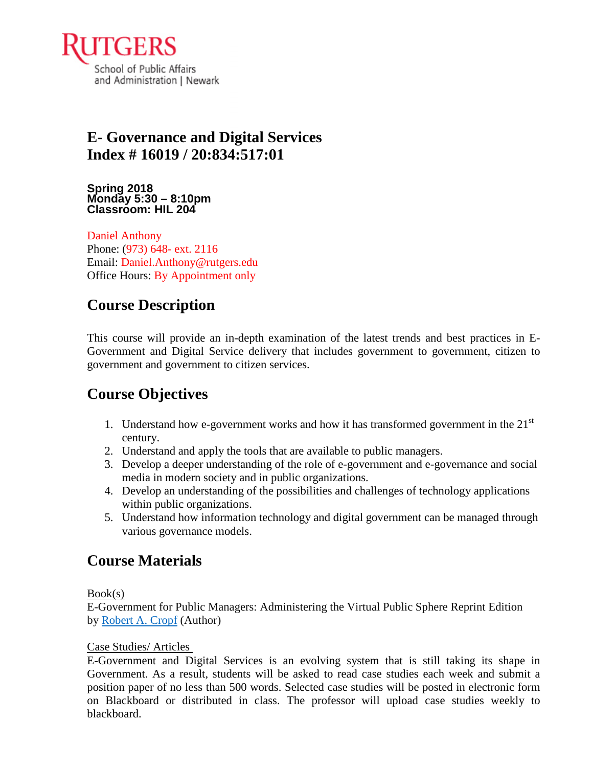

# **E- Governance and Digital Services Index # 16019 / 20:834:517:01**

**Spring 2018 Monday 5:30 – 8:10pm Classroom: HIL 204**

Daniel Anthony Phone: (973) 648- ext. 2116 Email: Daniel.Anthony@rutgers.edu Office Hours: By Appointment only

## **Course Description**

This course will provide an in-depth examination of the latest trends and best practices in E-Government and Digital Service delivery that includes government to government, citizen to government and government to citizen services.

## **Course Objectives**

- 1. Understand how e-government works and how it has transformed government in the  $21<sup>st</sup>$ century.
- 2. Understand and apply the tools that are available to public managers.
- 3. Develop a deeper understanding of the role of e-government and e-governance and social media in modern society and in public organizations.
- 4. Develop an understanding of the possibilities and challenges of technology applications within public organizations.
- 5. Understand how information technology and digital government can be managed through various governance models.

## **Course Materials**

#### Book(s)

E-Government for Public Managers: Administering the Virtual Public Sphere Reprint Edition by [Robert A. Cropf](https://www.amazon.com/s/ref=dp_byline_sr_book_1?ie=UTF8&text=Robert+A.+Cropf&search-alias=books&field-author=Robert+A.+Cropf&sort=relevancerank) (Author)

#### Case Studies/ Articles

E-Government and Digital Services is an evolving system that is still taking its shape in Government. As a result, students will be asked to read case studies each week and submit a position paper of no less than 500 words. Selected case studies will be posted in electronic form on Blackboard or distributed in class. The professor will upload case studies weekly to blackboard.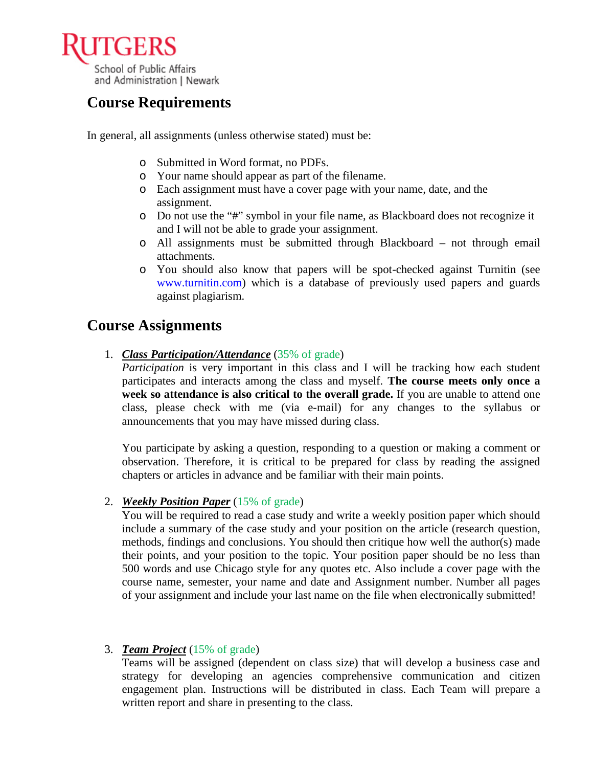

# **Course Requirements**

In general, all assignments (unless otherwise stated) must be:

- o Submitted in Word format, no PDFs.
- o Your name should appear as part of the filename.
- o Each assignment must have a cover page with your name, date, and the assignment.
- o Do not use the "#" symbol in your file name, as Blackboard does not recognize it and I will not be able to grade your assignment.
- o All assignments must be submitted through Blackboard not through email attachments.
- o You should also know that papers will be spot-checked against Turnitin (see www.turnitin.com) which is a database of previously used papers and guards against plagiarism.

### **Course Assignments**

1. *Class Participation/Attendance* (35% of grade)

*Participation* is very important in this class and I will be tracking how each student participates and interacts among the class and myself. **The course meets only once a week so attendance is also critical to the overall grade.** If you are unable to attend one class, please check with me (via e-mail) for any changes to the syllabus or announcements that you may have missed during class.

You participate by asking a question, responding to a question or making a comment or observation. Therefore, it is critical to be prepared for class by reading the assigned chapters or articles in advance and be familiar with their main points.

2. *Weekly Position Paper* (15% of grade)

You will be required to read a case study and write a weekly position paper which should include a summary of the case study and your position on the article (research question, methods, findings and conclusions. You should then critique how well the author(s) made their points, and your position to the topic. Your position paper should be no less than 500 words and use Chicago style for any quotes etc. Also include a cover page with the course name, semester, your name and date and Assignment number. Number all pages of your assignment and include your last name on the file when electronically submitted!

#### 3. *Team Project* (15% of grade)

Teams will be assigned (dependent on class size) that will develop a business case and strategy for developing an agencies comprehensive communication and citizen engagement plan. Instructions will be distributed in class. Each Team will prepare a written report and share in presenting to the class.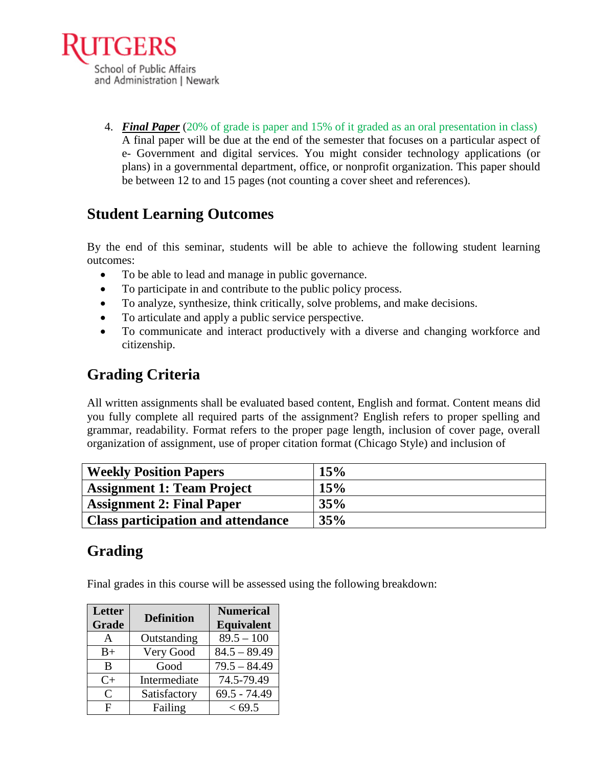

4. *Final Paper* (20% of grade is paper and 15% of it graded as an oral presentation in class) A final paper will be due at the end of the semester that focuses on a particular aspect of e- Government and digital services. You might consider technology applications (or plans) in a governmental department, office, or nonprofit organization. This paper should be between 12 to and 15 pages (not counting a cover sheet and references).

# **Student Learning Outcomes**

By the end of this seminar, students will be able to achieve the following student learning outcomes:

- To be able to lead and manage in public governance.
- To participate in and contribute to the public policy process.
- To analyze, synthesize, think critically, solve problems, and make decisions.
- To articulate and apply a public service perspective.
- To communicate and interact productively with a diverse and changing workforce and citizenship.

# **Grading Criteria**

All written assignments shall be evaluated based content, English and format. Content means did you fully complete all required parts of the assignment? English refers to proper spelling and grammar, readability. Format refers to the proper page length, inclusion of cover page, overall organization of assignment, use of proper citation format (Chicago Style) and inclusion of

| <b>Weekly Position Papers</b>             | 15% |
|-------------------------------------------|-----|
| <b>Assignment 1: Team Project</b>         | 15% |
| <b>Assignment 2: Final Paper</b>          | 35% |
| <b>Class participation and attendance</b> | 35% |

## **Grading**

Final grades in this course will be assessed using the following breakdown:

| Letter<br>Grade | <b>Definition</b> | <b>Numerical</b><br><b>Equivalent</b> |  |
|-----------------|-------------------|---------------------------------------|--|
| A               | Outstanding       | $89.5 - 100$                          |  |
| $B+$            | Very Good         | $84.5 - 89.49$                        |  |
| B               | Good              | $79.5 - 84.49$                        |  |
| $C+$            | Intermediate      | 74.5-79.49                            |  |
| $\mathcal{C}$   | Satisfactory      | $69.5 - 74.49$                        |  |
| F               | Failing           | < 69.5                                |  |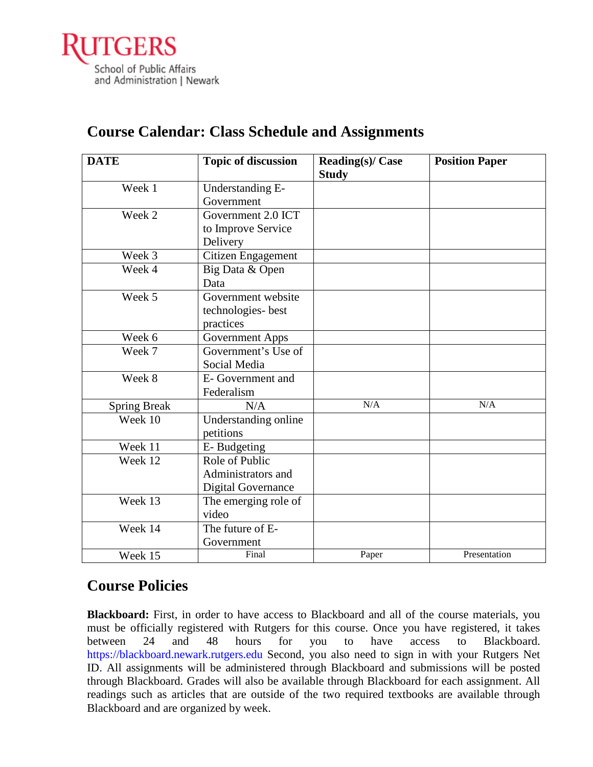

| <b>DATE</b>         | <b>Topic of discussion</b> | <b>Reading(s)/ Case</b> | <b>Position Paper</b> |
|---------------------|----------------------------|-------------------------|-----------------------|
|                     |                            | <b>Study</b>            |                       |
| Week 1              | Understanding E-           |                         |                       |
|                     | Government                 |                         |                       |
| Week 2              | Government 2.0 ICT         |                         |                       |
|                     | to Improve Service         |                         |                       |
|                     | Delivery                   |                         |                       |
| Week 3              | Citizen Engagement         |                         |                       |
| Week 4              | Big Data & Open            |                         |                       |
|                     | Data                       |                         |                       |
| Week 5              | Government website         |                         |                       |
|                     | technologies-best          |                         |                       |
|                     | practices                  |                         |                       |
| Week 6              | <b>Government Apps</b>     |                         |                       |
| Week 7              | Government's Use of        |                         |                       |
|                     | Social Media               |                         |                       |
| Week 8              | E- Government and          |                         |                       |
|                     | Federalism                 |                         |                       |
| <b>Spring Break</b> | N/A                        | N/A                     | N/A                   |
| Week 10             | Understanding online       |                         |                       |
|                     | petitions                  |                         |                       |
| Week 11             | E-Budgeting                |                         |                       |
| Week 12             | Role of Public             |                         |                       |
|                     | Administrators and         |                         |                       |
|                     | Digital Governance         |                         |                       |
| Week 13             | The emerging role of       |                         |                       |
|                     | video                      |                         |                       |
| Week 14             | The future of E-           |                         |                       |
|                     | Government                 |                         |                       |
| Week 15             | Final                      | Paper                   | Presentation          |

# **Course Calendar: Class Schedule and Assignments**

## **Course Policies**

**Blackboard:** First, in order to have access to Blackboard and all of the course materials, you must be officially registered with Rutgers for this course. Once you have registered, it takes between 24 and 48 hours for you to have access to Blackboard. https://blackboard.newark.rutgers.edu Second, you also need to sign in with your Rutgers Net ID. All assignments will be administered through Blackboard and submissions will be posted through Blackboard. Grades will also be available through Blackboard for each assignment. All readings such as articles that are outside of the two required textbooks are available through Blackboard and are organized by week.